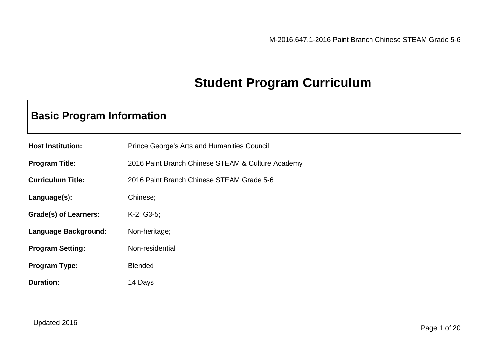# **Student Program Curriculum**

## **Basic Program Information**

| <b>Host Institution:</b> | <b>Prince George's Arts and Humanities Council</b> |
|--------------------------|----------------------------------------------------|
| <b>Program Title:</b>    | 2016 Paint Branch Chinese STEAM & Culture Academy  |
| <b>Curriculum Title:</b> | 2016 Paint Branch Chinese STEAM Grade 5-6          |
| Language(s):             | Chinese;                                           |
| Grade(s) of Learners:    | $K-2$ ; G3-5;                                      |
| Language Background:     | Non-heritage;                                      |
| <b>Program Setting:</b>  | Non-residential                                    |
| <b>Program Type:</b>     | <b>Blended</b>                                     |
| <b>Duration:</b>         | 14 Days                                            |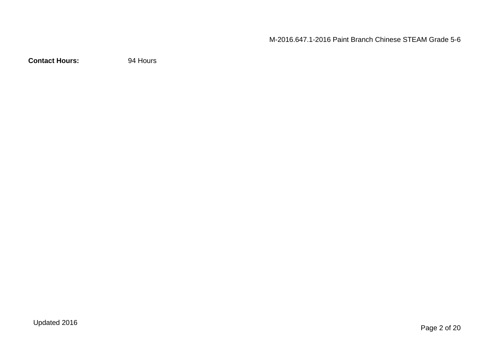**Contact Hours:** 94 Hours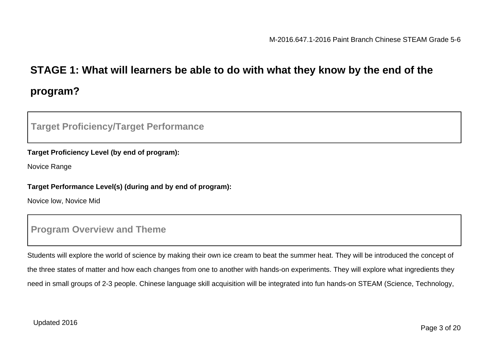# **STAGE 1: What will learners be able to do with what they know by the end of the program?**

## **Target Proficiency/Target Performance**

#### **Target Proficiency Level (by end of program):**

Novice Range

#### **Target Performance Level(s) (during and by end of program):**

Novice low, Novice Mid

### **Program Overview and Theme**

Students will explore the world of science by making their own ice cream to beat the summer heat. They will be introduced the concept of the three states of matter and how each changes from one to another with hands-on experiments. They will explore what ingredients they need in small groups of 2-3 people. Chinese language skill acquisition will be integrated into fun hands-on STEAM (Science, Technology,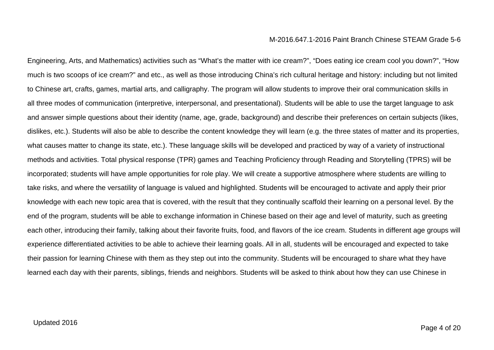Engineering, Arts, and Mathematics) activities such as "What's the matter with ice cream?", "Does eating ice cream cool you down?", "How much is two scoops of ice cream?" and etc., as well as those introducing China's rich cultural heritage and history: including but not limited to Chinese art, crafts, games, martial arts, and calligraphy. The program will allow students to improve their oral communication skills in all three modes of communication (interpretive, interpersonal, and presentational). Students will be able to use the target language to ask and answer simple questions about their identity (name, age, grade, background) and describe their preferences on certain subjects (likes, dislikes, etc.). Students will also be able to describe the content knowledge they will learn (e.g. the three states of matter and its properties, what causes matter to change its state, etc.). These language skills will be developed and practiced by way of a variety of instructional methods and activities. Total physical response (TPR) games and Teaching Proficiency through Reading and Storytelling (TPRS) will be incorporated; students will have ample opportunities for role play. We will create a supportive atmosphere where students are willing to take risks, and where the versatility of language is valued and highlighted. Students will be encouraged to activate and apply their prior knowledge with each new topic area that is covered, with the result that they continually scaffold their learning on a personal level. By the end of the program, students will be able to exchange information in Chinese based on their age and level of maturity, such as greeting each other, introducing their family, talking about their favorite fruits, food, and flavors of the ice cream. Students in different age groups will experience differentiated activities to be able to achieve their learning goals. All in all, students will be encouraged and expected to take their passion for learning Chinese with them as they step out into the community. Students will be encouraged to share what they have learned each day with their parents, siblings, friends and neighbors. Students will be asked to think about how they can use Chinese in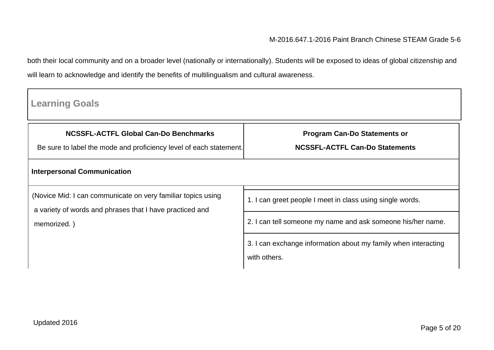both their local community and on a broader level (nationally or internationally). Students will be exposed to ideas of global citizenship and will learn to acknowledge and identify the benefits of multilingualism and cultural awareness.

| <b>Learning Goals</b>                                                                                                    |                                                                                |  |  |
|--------------------------------------------------------------------------------------------------------------------------|--------------------------------------------------------------------------------|--|--|
| <b>NCSSFL-ACTFL Global Can-Do Benchmarks</b><br>Be sure to label the mode and proficiency level of each statement.       | <b>Program Can-Do Statements or</b><br><b>NCSSFL-ACTFL Can-Do Statements</b>   |  |  |
| <b>Interpersonal Communication</b>                                                                                       |                                                                                |  |  |
| (Novice Mid: I can communicate on very familiar topics using<br>a variety of words and phrases that I have practiced and | 1. I can greet people I meet in class using single words.                      |  |  |
| memorized.)                                                                                                              | 2. I can tell someone my name and ask someone his/her name.                    |  |  |
|                                                                                                                          | 3. I can exchange information about my family when interacting<br>with others. |  |  |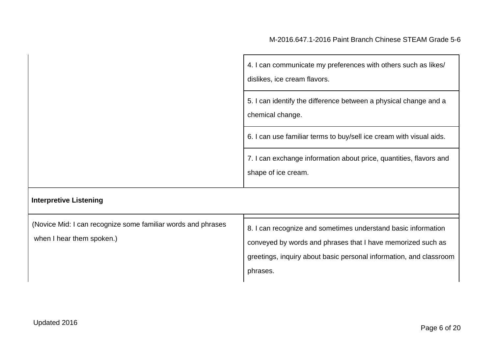|                               | 4. I can communicate my preferences with others such as likes/<br>dislikes, ice cream flavors. |
|-------------------------------|------------------------------------------------------------------------------------------------|
|                               | 5. I can identify the difference between a physical change and a<br>chemical change.           |
|                               | 6. I can use familiar terms to buy/sell ice cream with visual aids.                            |
|                               | 7. I can exchange information about price, quantities, flavors and<br>shape of ice cream.      |
| <b>Interpretive Listening</b> |                                                                                                |

| (Novice Mid: I can recognize some familiar words and phrases | 8. I can recognize and sometimes understand basic information      |  |
|--------------------------------------------------------------|--------------------------------------------------------------------|--|
| when I hear them spoken.)                                    | conveyed by words and phrases that I have memorized such as        |  |
|                                                              | greetings, inquiry about basic personal information, and classroom |  |
|                                                              | phrases.                                                           |  |
|                                                              |                                                                    |  |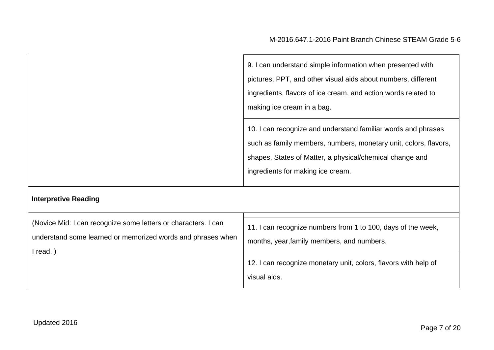| 9. I can understand simple information when presented with                                                                                                                                                                         |
|------------------------------------------------------------------------------------------------------------------------------------------------------------------------------------------------------------------------------------|
| pictures, PPT, and other visual aids about numbers, different                                                                                                                                                                      |
| ingredients, flavors of ice cream, and action words related to                                                                                                                                                                     |
| making ice cream in a bag.                                                                                                                                                                                                         |
| 10. I can recognize and understand familiar words and phrases<br>such as family members, numbers, monetary unit, colors, flavors,<br>shapes, States of Matter, a physical/chemical change and<br>ingredients for making ice cream. |

## **Interpretive Reading**

| (Novice Mid: I can recognize some letters or characters. I can<br>understand some learned or memorized words and phrases when<br>l read. ) | 11. I can recognize numbers from 1 to 100, days of the week,<br>months, year, family members, and numbers. |  |
|--------------------------------------------------------------------------------------------------------------------------------------------|------------------------------------------------------------------------------------------------------------|--|
|                                                                                                                                            | 12. I can recognize monetary unit, colors, flavors with help of<br>visual aids.                            |  |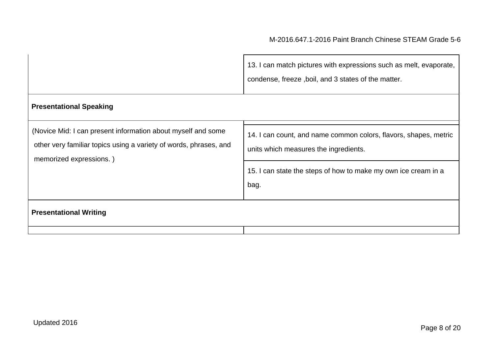|                                                                                                                                                              | 13. I can match pictures with expressions such as melt, evaporate,<br>condense, freeze, boil, and 3 states of the matter.                                                   |
|--------------------------------------------------------------------------------------------------------------------------------------------------------------|-----------------------------------------------------------------------------------------------------------------------------------------------------------------------------|
| <b>Presentational Speaking</b>                                                                                                                               |                                                                                                                                                                             |
| (Novice Mid: I can present information about myself and some<br>other very familiar topics using a variety of words, phrases, and<br>memorized expressions.) | 14. I can count, and name common colors, flavors, shapes, metric<br>units which measures the ingredients.<br>15. I can state the steps of how to make my own ice cream in a |
| <b>Presentational Writing</b>                                                                                                                                | bag.                                                                                                                                                                        |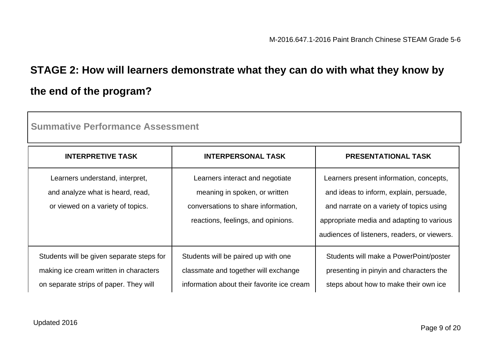# **STAGE 2: How will learners demonstrate what they can do with what they know by the end of the program?**

| oailliikuvu lulloillikiloo Assossiliolit                                                                                      |                                                                                                                                               |                                                                                                                                                                                                                             |
|-------------------------------------------------------------------------------------------------------------------------------|-----------------------------------------------------------------------------------------------------------------------------------------------|-----------------------------------------------------------------------------------------------------------------------------------------------------------------------------------------------------------------------------|
| <b>INTERPRETIVE TASK</b>                                                                                                      | <b>INTERPERSONAL TASK</b>                                                                                                                     | <b>PRESENTATIONAL TASK</b>                                                                                                                                                                                                  |
| Learners understand, interpret,<br>and analyze what is heard, read,<br>or viewed on a variety of topics.                      | Learners interact and negotiate<br>meaning in spoken, or written<br>conversations to share information,<br>reactions, feelings, and opinions. | Learners present information, concepts,<br>and ideas to inform, explain, persuade,<br>and narrate on a variety of topics using<br>appropriate media and adapting to various<br>audiences of listeners, readers, or viewers. |
| Students will be given separate steps for<br>making ice cream written in characters<br>on separate strips of paper. They will | Students will be paired up with one<br>classmate and together will exchange<br>information about their favorite ice cream                     | Students will make a PowerPoint/poster<br>presenting in pinyin and characters the<br>steps about how to make their own ice                                                                                                  |

**Summative Performance Assessment**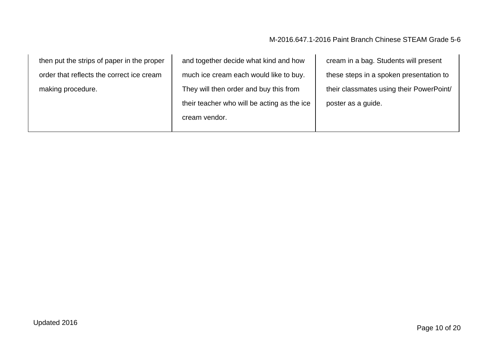| then put the strips of paper in the proper | and together decide what kind and how       | cream in a bag. Students will present    |
|--------------------------------------------|---------------------------------------------|------------------------------------------|
| order that reflects the correct ice cream  | much ice cream each would like to buy.      | these steps in a spoken presentation to  |
| making procedure.                          | They will then order and buy this from      | their classmates using their PowerPoint/ |
|                                            | their teacher who will be acting as the ice | poster as a guide.                       |
|                                            | cream vendor.                               |                                          |
|                                            |                                             |                                          |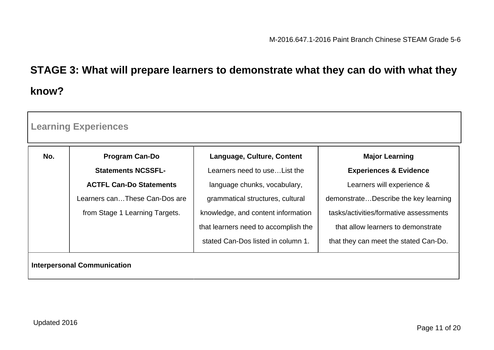# **STAGE 3: What will prepare learners to demonstrate what they can do with what they know?**

| <b>Learning Experiences</b>        |                                |                                      |                                        |
|------------------------------------|--------------------------------|--------------------------------------|----------------------------------------|
| No.                                | <b>Program Can-Do</b>          | Language, Culture, Content           | <b>Major Learning</b>                  |
|                                    | <b>Statements NCSSFL-</b>      | Learners need to use List the        | <b>Experiences &amp; Evidence</b>      |
|                                    | <b>ACTFL Can-Do Statements</b> | language chunks, vocabulary,         | Learners will experience &             |
|                                    | Learners canThese Can-Dos are  | grammatical structures, cultural     | demonstrateDescribe the key learning   |
|                                    | from Stage 1 Learning Targets. | knowledge, and content information   | tasks/activities/formative assessments |
|                                    |                                | that learners need to accomplish the | that allow learners to demonstrate     |
|                                    |                                | stated Can-Dos listed in column 1.   | that they can meet the stated Can-Do.  |
| <b>Interpersonal Communication</b> |                                |                                      |                                        |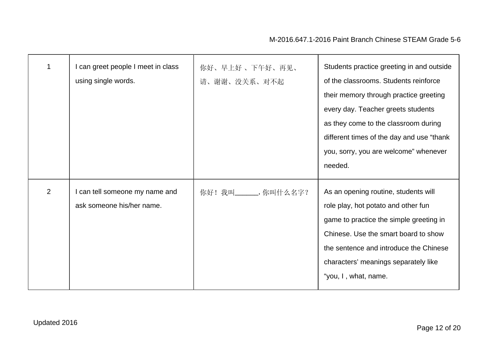|                | can greet people I meet in class<br>using single words.     | 你好、早上好、下午好、再见、<br>请、谢谢、没关系、对不起 | Students practice greeting in and outside<br>of the classrooms. Students reinforce<br>their memory through practice greeting<br>every day. Teacher greets students<br>as they come to the classroom during<br>different times of the day and use "thank"<br>you, sorry, you are welcome" whenever<br>needed. |
|----------------|-------------------------------------------------------------|--------------------------------|--------------------------------------------------------------------------------------------------------------------------------------------------------------------------------------------------------------------------------------------------------------------------------------------------------------|
| $\overline{2}$ | I can tell someone my name and<br>ask someone his/her name. | 你好!我叫_______,你叫什么名字?           | As an opening routine, students will<br>role play, hot potato and other fun<br>game to practice the simple greeting in<br>Chinese. Use the smart board to show<br>the sentence and introduce the Chinese<br>characters' meanings separately like<br>"you, I, what, name.                                     |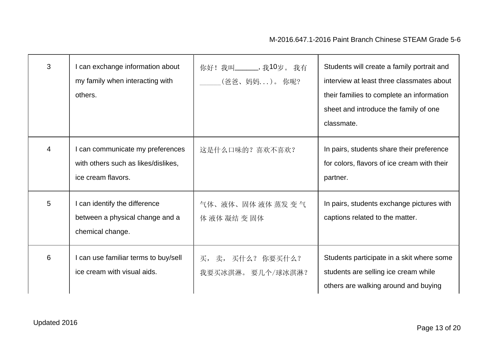| 3 | I can exchange information about<br>my family when interacting with<br>others.                | 你好! 我叫_______, 我10岁。我有<br>(爸爸、妈妈)。你呢? | Students will create a family portrait and<br>interview at least three classmates about<br>their families to complete an information<br>sheet and introduce the family of one<br>classmate. |
|---|-----------------------------------------------------------------------------------------------|---------------------------------------|---------------------------------------------------------------------------------------------------------------------------------------------------------------------------------------------|
| 4 | I can communicate my preferences<br>with others such as likes/dislikes,<br>ice cream flavors. | 这是什么口味的? 喜欢不喜欢?                       | In pairs, students share their preference<br>for colors, flavors of ice cream with their<br>partner.                                                                                        |
| 5 | I can identify the difference<br>between a physical change and a<br>chemical change.          | 气体、液体、固体液体蒸发变气<br>体 液体 凝结 变 固体        | In pairs, students exchange pictures with<br>captions related to the matter.                                                                                                                |
| 6 | I can use familiar terms to buy/sell<br>ice cream with visual aids.                           | 买, 卖, 买什么? 你要买什么?<br>我要买冰淇淋。要几个/球冰淇淋? | Students participate in a skit where some<br>students are selling ice cream while<br>others are walking around and buying                                                                   |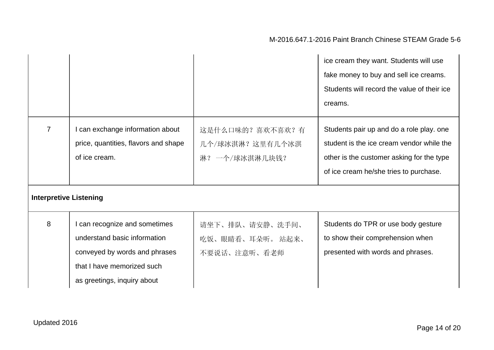|                               |                                                                                                                                                             |                                                         | ice cream they want. Students will use<br>fake money to buy and sell ice creams.<br>Students will record the value of their ice<br>creams.                                   |
|-------------------------------|-------------------------------------------------------------------------------------------------------------------------------------------------------------|---------------------------------------------------------|------------------------------------------------------------------------------------------------------------------------------------------------------------------------------|
| $\overline{7}$                | I can exchange information about<br>price, quantities, flavors and shape<br>of ice cream.                                                                   | 这是什么口味的? 喜欢不喜欢? 有<br>几个/球冰淇淋? 这里有几个冰淇<br>淋? 一个/球冰淇淋几块钱? | Students pair up and do a role play. one<br>student is the ice cream vendor while the<br>other is the customer asking for the type<br>of ice cream he/she tries to purchase. |
| <b>Interpretive Listening</b> |                                                                                                                                                             |                                                         |                                                                                                                                                                              |
| 8                             | I can recognize and sometimes<br>understand basic information<br>conveyed by words and phrases<br>that I have memorized such<br>as greetings, inquiry about | 请坐下、排队、请安静、洗手间、<br>吃饭、眼睛看、耳朵听。 站起来、<br>不要说话、注意听、看老师     | Students do TPR or use body gesture<br>to show their comprehension when<br>presented with words and phrases.                                                                 |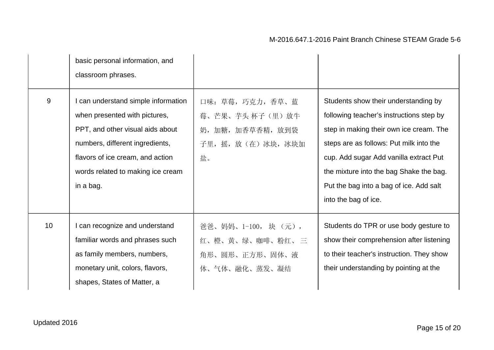|                 | basic personal information, and<br>classroom phrases.                                                                                                                                                                             |                                                                                |                                                                                                                                                                                                                                                                                                                                |
|-----------------|-----------------------------------------------------------------------------------------------------------------------------------------------------------------------------------------------------------------------------------|--------------------------------------------------------------------------------|--------------------------------------------------------------------------------------------------------------------------------------------------------------------------------------------------------------------------------------------------------------------------------------------------------------------------------|
| 9               | I can understand simple information<br>when presented with pictures,<br>PPT, and other visual aids about<br>numbers, different ingredients,<br>flavors of ice cream, and action<br>words related to making ice cream<br>in a bag. | 口味: 草莓, 巧克力, 香草、蓝<br>莓、芒果、芋头杯子(里)放牛<br>奶,加糖,加香草香精,放到袋<br>子里,摇,放(在)冰块,冰块加<br>盐。 | Students show their understanding by<br>following teacher's instructions step by<br>step in making their own ice cream. The<br>steps are as follows: Put milk into the<br>cup. Add sugar Add vanilla extract Put<br>the mixture into the bag Shake the bag.<br>Put the bag into a bag of ice. Add salt<br>into the bag of ice. |
| 10 <sup>°</sup> | I can recognize and understand<br>familiar words and phrases such<br>as family members, numbers,<br>monetary unit, colors, flavors,<br>shapes, States of Matter, a                                                                | 爸爸、妈妈、1-100, 块 (元),<br>红、橙、黄、绿、咖啡、粉红、三<br>角形、圆形、正方形、固体、液<br>体、气体、融化、蒸发、凝结      | Students do TPR or use body gesture to<br>show their comprehension after listening<br>to their teacher's instruction. They show<br>their understanding by pointing at the                                                                                                                                                      |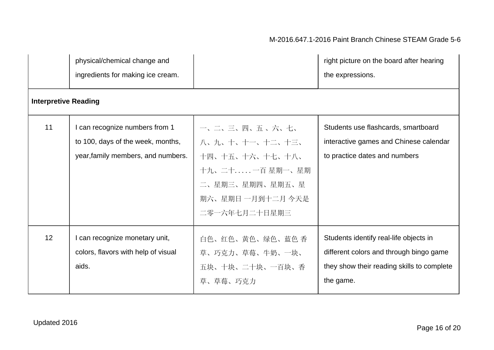|                             | physical/chemical change and<br>ingredients for making ice cream.                                         |                                                                                                                              | right picture on the board after hearing<br>the expressions.                                                                                 |
|-----------------------------|-----------------------------------------------------------------------------------------------------------|------------------------------------------------------------------------------------------------------------------------------|----------------------------------------------------------------------------------------------------------------------------------------------|
| <b>Interpretive Reading</b> |                                                                                                           |                                                                                                                              |                                                                                                                                              |
| 11                          | I can recognize numbers from 1<br>to 100, days of the week, months,<br>year, family members, and numbers. | 一、二、三、四、五、六、七、<br>八、九、十、十一、十二、十三、<br>十四、十五、十六、十七、十八、<br>十九、二十一百星期一、星期<br>二、星期三、星期四、星期五、星<br>期六、星期日一月到十二月今天是<br>二零一六年七月二十日星期三 | Students use flashcards, smartboard<br>interactive games and Chinese calendar<br>to practice dates and numbers                               |
| 12                          | I can recognize monetary unit,<br>colors, flavors with help of visual<br>aids.                            | 白色、红色、黄色、绿色、蓝色 香<br>草、巧克力、草莓、牛奶、一块、<br>五块、十块、二十块、一百块、香<br>草、草莓、巧克力                                                           | Students identify real-life objects in<br>different colors and through bingo game<br>they show their reading skills to complete<br>the game. |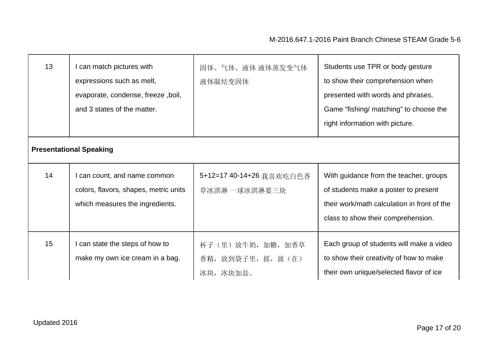| 13 | I can match pictures with<br>expressions such as melt,<br>evaporate, condense, freeze, boil,<br>and 3 states of the matter. | 固体、气体、液体 液体蒸发变气体<br>液体凝结变固体                           | Students use TPR or body gesture<br>to show their comprehension when<br>presented with words and phrases.<br>Game "fishing/ matching" to choose the<br>right information with picture. |  |
|----|-----------------------------------------------------------------------------------------------------------------------------|-------------------------------------------------------|----------------------------------------------------------------------------------------------------------------------------------------------------------------------------------------|--|
|    | <b>Presentational Speaking</b>                                                                                              |                                                       |                                                                                                                                                                                        |  |
| 14 | I can count, and name common<br>colors, flavors, shapes, metric units<br>which measures the ingredients.                    | 5+12=17 40-14+26 我喜欢吃白色香<br>草冰淇淋 一球冰淇淋要三块             | With guidance from the teacher, groups<br>of students make a poster to present<br>their work/math calculation in front of the<br>class to show their comprehension.                    |  |
| 15 | I can state the steps of how to<br>make my own ice cream in a bag.                                                          | 杯子 (里) 放牛奶, 加糖, 加香草<br>香精, 放到袋子里, 摇, 放(在)<br>冰块,冰块加盐。 | Each group of students will make a video<br>to show their creativity of how to make<br>their own unique/selected flavor of ice                                                         |  |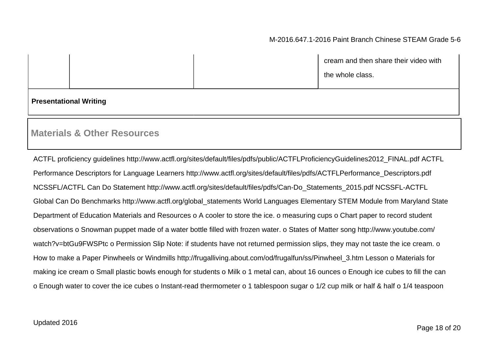|  | cream and then share their video with |
|--|---------------------------------------|
|  | the whole class.                      |

#### **Presentational Writing**

### **Materials & Other Resources**

ACTFL proficiency guidelines http://www.actfl.org/sites/default/files/pdfs/public/ACTFLProficiencyGuidelines2012\_FINAL.pdf ACTFL Performance Descriptors for Language Learners http://www.actfl.org/sites/default/files/pdfs/ACTFLPerformance\_Descriptors.pdf NCSSFL/ACTFL Can Do Statement http://www.actfl.org/sites/default/files/pdfs/Can-Do\_Statements\_2015.pdf NCSSFL-ACTFL Global Can Do Benchmarks http://www.actfl.org/global\_statements World Languages Elementary STEM Module from Maryland State Department of Education Materials and Resources o A cooler to store the ice. o measuring cups o Chart paper to record student observations o Snowman puppet made of a water bottle filled with frozen water. o States of Matter song http://www.youtube.com/ watch?v=btGu9FWSPtc o Permission Slip Note: if students have not returned permission slips, they may not taste the ice cream. o How to make a Paper Pinwheels or Windmills http://frugalliving.about.com/od/frugalfun/ss/Pinwheel\_3.htm Lesson o Materials for making ice cream o Small plastic bowls enough for students o Milk o 1 metal can, about 16 ounces o Enough ice cubes to fill the can o Enough water to cover the ice cubes o Instant-read thermometer o 1 tablespoon sugar o 1/2 cup milk or half & half o 1/4 teaspoon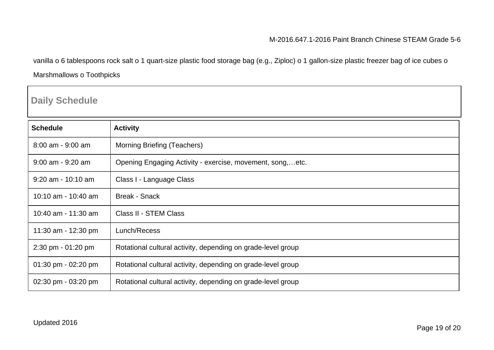vanilla o 6 tablespoons rock salt o 1 quart-size plastic food storage bag (e.g., Ziploc) o 1 gallon-size plastic freezer bag of ice cubes o Marshmallows o Toothpicks

## **Daily Schedule**

| <b>Schedule</b>       | <b>Activity</b>                                              |
|-----------------------|--------------------------------------------------------------|
| $8:00$ am - $9:00$ am | Morning Briefing (Teachers)                                  |
| $9:00$ am - $9:20$ am | Opening Engaging Activity - exercise, movement, song,etc.    |
| $9:20$ am - 10:10 am  | Class I - Language Class                                     |
| 10:10 am - 10:40 am   | <b>Break - Snack</b>                                         |
| 10:40 am - 11:30 am   | Class II - STEM Class                                        |
| 11:30 am - 12:30 pm   | Lunch/Recess                                                 |
| 2:30 pm - 01:20 pm    | Rotational cultural activity, depending on grade-level group |
| 01:30 pm - 02:20 pm   | Rotational cultural activity, depending on grade-level group |
| 02:30 pm - 03:20 pm   | Rotational cultural activity, depending on grade-level group |